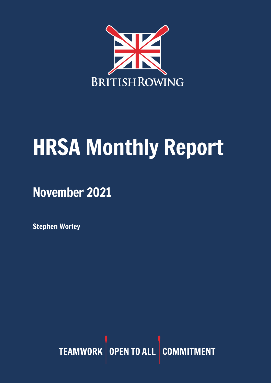

# HRSA Monthly Report

November 2021

Stephen Worley

TEAMWORK OPEN TO ALL COMMITMENT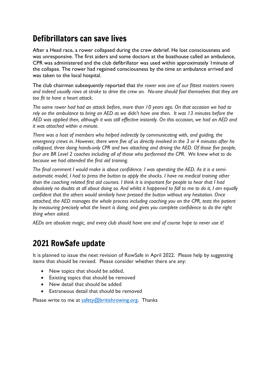# Defibrillators can save lives

After a Head race, a rower collapsed during the crew debrief. He lost consciousness and was unresponsive. The first aiders and some doctors at the boathouse called an ambulance, CPR was administered and the club defibrillator was used within approximately 1minute of the collapse. The rower had regained consciousness by the time an ambulance arrived and was taken to the local hospital.

The club chairman subsequently reported that *the rower was one of our fittest masters rowers and indeed usually rows at stroke to drive the crew on. No-one should fool themselves that they are too fit to have a heart attack.*

*The same rower had had an attack before, more than 10 years ago. On that occasion we had to* rely on the ambulance to bring an AED as we didn't have one then. It was 13 minutes before the AED was applied then, although it was still effective instantly. On this occasion, we had an AED and *it was attached within a minute.*

*There was a host of members who helped indirectly by communicating with, and guiding, the* emergency crews in. However, there were five of us directly involved in the 3 or 4 minutes after he *collapsed, three doing hands-only CPR and two attaching and driving the AED. Of those five people, four are BR Level 2 coaches including all of those who performed the CPR. We knew what to do because we had attended the first aid training.*

The final comment I would make is about confidence. I was operating the AED. As it is a semi*automatic model, I had to press the button to apply the shocks. I have no medical training other* than the coaching related first aid courses. I think it is important for beople to hear that I had absolutely no doubts at all about doing so. And whilst it happened to fall to me to do it, I am equally *confident that the others would similarly have pressed the button without any hesitation. Once attached, the AED manages the whole process including coaching you on the CPR, tests the patient by measuring precisely what the heart is doing, and gives you complete confidence to do the right thing when asked.*

*AEDs are absolute magic, and every club should have one and of course hope to never use it!*

## 2021 RowSafe update

It is planned to issue the next revision of RowSafe in April 2022. Please help by suggesting items that should be revised. Please consider whether there are any:

- New topics that should be added,
- Existing topics that should be removed
- New detail that should be added
- Extraneous detail that should be removed

Please write to me at [safety@britishrowing.org.](mailto:safety@britishrowing.org) Thanks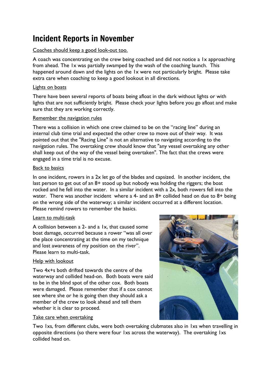## Incident Reports in November

## Coaches should keep a good look-out too.

A coach was concentrating on the crew being coached and did not notice a 1x approaching from ahead. The 1x was partially swamped by the wash of the coaching launch. This happened around dawn and the lights on the 1x were not particularly bright. Please take extra care when coaching to keep a good lookout in all directions.

### Lights on boats

There have been several reports of boats being afloat in the dark without lights or with lights that are not sufficiently bright. Please check your lights before you go afloat and make sure that they are working correctly.

### Remember the navigation rules

There was a collision in which one crew claimed to be on the "racing line" during an internal club time trial and expected the other crew to move out of their way. It was pointed out that the "Racing Line" is not an alternative to navigating according to the navigation rules. The overtaking crew should know that "any vessel overtaking any other shall keep out of the way of the vessel being overtaken". The fact that the crews were engaged in a time trial is no excuse.

#### Back to basics

In one incident, rowers in a 2x let go of the blades and capsized. In another incident, the last person to get out of an 8+ stood up but nobody was holding the riggers; the boat rocked and he fell into the water. In a similar incident with a 2x, both rowers fell into the water. There was another incident where a 4- and an  $8+$  collided head on due to  $8+$  being on the wrong side of the waterway; a similar incident occurred at a different location. Please remind rowers to remember the basics.

#### Learn to multi-task

A collision between a 2- and a 1x, that caused some boat damage, occurred because a rower "was all over the place concentrating at the time on my technique and lost awareness of my position on the river". Please learn to multi-task.

## Help with lookout

Two 4x+s both drifted towards the centre of the waterway and collided head-on. Both boats were said to be in the blind spot of the other cox. Both boats were damaged. Please remember that if a cox cannot see where she or he is going then they should ask a member of the crew to look ahead and tell them whether it is clear to proceed.

#### Take care when overtaking

Two 1xs, from different clubs, were both overtaking clubmates also in 1xs when travelling in opposite directions (so there were four 1xs across the waterway). The overtaking 1xs collided head on.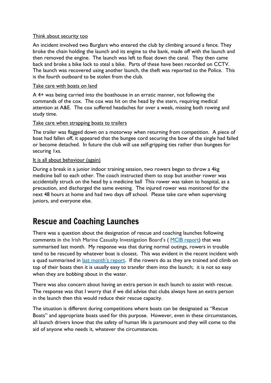#### Think about security too

An incident involved two Burglars who entered the club by climbing around a fence. They broke the chain holding the launch and its engine to the bank, made off with the launch and then removed the engine. The launch was left to float down the canal. They then came back and broke a bike lock to steal a bike. Parts of these have been recorded on CCTV. The launch was recovered using another launch, the theft was reported to the Police. This is the fourth outboard to be stolen from the club.

## Take care with boats on land

A 4+ was being carried into the boathouse in an erratic manner, not following the commands of the cox. The cox was hit on the head by the stern, requiring medical attention at A&E. The cox suffered headaches for over a week, missing both rowing and study time.

## Take care when strapping boats to trailers

The trailer was flagged down on a motorway when returning from competition. A piece of boat had fallen off, it appeared that the bungee cord securing the bow of the single had failed or become detached. In future the club will use self-gripping ties rather than bungees for securing 1xs.

### It is all about behaviour (again)

During a break in a junior indoor training session, two rowers began to throw a 4kg medicine ball to each other. The coach instructed them to stop but another rower was accidentally struck on the head by a medicine ball This rower was taken to hospital, as a precaution, and discharged the same evening. The injured rower was monitored for the next 48 hours at home and had two days off school. Please take care when supervising juniors, and everyone else.

## Rescue and Coaching Launches

There was a question about the designation of rescue and coaching launches following comments in the Irish Marine Casualty Investigation Board's ( MCIB [report\)](https://www.britishrowing.org/wp-content/uploads/2021/11/HRSA-Monthly-Report-October-2021.pdf) that was summarised last month. My response was that during normal outings, rowers in trouble tend to be rescued by whatever boat is closest. This was evident in the recent incident with a quad summarised in last month's [report.](https://www.britishrowing.org/wp-content/uploads/2021/11/HRSA-Monthly-Report-October-2021.pdf) If the rowers do as they are trained and climb on top of their boats then it is usually easy to transfer them into the launch; it is not so easy when they are bobbing about in the water.

There was also concern about having an extra person in each launch to assist with rescue. The response was that I worry that if we did advise that clubs always have an extra person in the launch then this would reduce their rescue capacity.

The situation is different during competitions where boats can be designated as "Rescue Boats" and appropriate boats used for this purpose. However, even in these circumstances, all launch drivers know that the safety of human life is paramount and they will come to the aid of anyone who needs it, whatever the circumstances.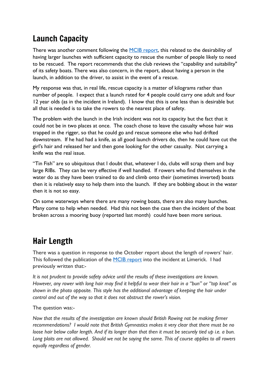# Launch Capacity

There was another comment following the MCIB [report,](https://www.britishrowing.org/wp-content/uploads/2021/11/HRSA-Monthly-Report-October-2021.pdf) this related to the desirability of having larger launches with sufficient capacity to rescue the number of people likely to need to be rescued. The report recommends that the club reviews the "capability and suitability" of its safety boats. There was also concern, in the report, about having a person in the launch, in addition to the driver, to assist in the event of a rescue.

My response was that, in real life, rescue capacity is a matter of kilograms rather than number of people. I expect that a launch rated for 4 people could carry one adult and four 12 year olds (as in the incident in Ireland). I know that this is one less than is desirable but all that is needed is to take the rowers to the nearest place of safety.

The problem with the launch in the Irish incident was not its capacity but the fact that it could not be in two places at once. The coach chose to leave the casualty whose hair was trapped in the rigger, so that he could go and rescue someone else who had drifted downstream. If he had had a knife, as all good launch drivers do, then he could have cut the girl's hair and released her and then gone looking for the other casualty. Not carrying a knife was the real issue.

"Tin Fish" are so ubiquitous that I doubt that, whatever I do, clubs will scrap them and buy large RIBs. They can be very effective if well handled. If rowers who find themselves in the water do as they have been trained to do and climb onto their (sometimes inverted) boats then it is relatively easy to help them into the launch. If they are bobbing about in the water then it is not so easy.

On some waterways where there are many rowing boats, there are also many launches. Many come to help when needed. Had this not been the case then the incident of the boat broken across a mooring buoy (reported last month) could have been more serious.

# Hair Length

There was a question in response to the October report about the length of rowers' hair. This followed the publication of the MCIB [report](https://www.britishrowing.org/wp-content/uploads/2021/11/HRSA-Monthly-Report-October-2021.pdf) into the incident at Limerick. I had previously written that:-

*It is not prudent to provide safety advice until the results of these investigations are known.* However, any rower with long hair may find it helpful to wear their hair in a "bun" or "top knot" as *shown in the photo opposite. This style has the additional advantage of keeping the hair under control and out of the way so that it does not obstruct the rower's vision.*

The question was:-

*Now that the results of the investigation are known should British Rowing not be making firmer recommendations? I would note that British Gymnastics makes it very clear that there must be no* loose hair below collar length. And if its longer than that then it must be securely tied up i.e. a bun. Long plaits are not allowed. Should we not be saying the same. This of course applies to all rowers *equally regardless of gender.*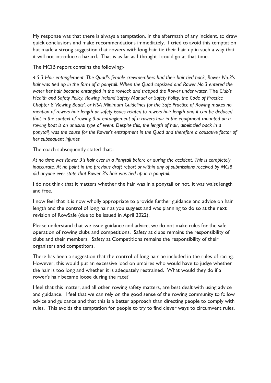My response was that there is always a temptation, in the aftermath of any incident, to draw quick conclusions and make recommendations immediately. I tried to avoid this temptation but made a strong suggestion that rowers with long hair tie their hair up in such a way that it will not introduce a hazard. That is as far as I thought I could go at that time.

The MCIB report contains the following:-

*4.5.3 Hair entanglement. The Quad's female crewmembers had their hair tied back, Rower No.3's* hair was tied up in the form of a ponytail. When the Quad capsized and Rower No.3 entered the *water her hair became entangled in the rowlock and trapped the Rower under water.* The *Club's Health and Safety Policy, Rowing Ireland Safety Manual or Safety Policy, the Code of Practice Chapter 8 'Rowing Boats', or FISA Minimum Guidelines for the Safe Practice of Rowing makes no mention of rowers hair length or safety issues related to rowers hair length and it can be deduced that in the context of rowing that entanglement of a rowers hair in the equipment mounted on a* rowing boat is an unusual type of event. Despite this, the length of hair, albeit tied back in a *ponytail, was the cause for the Rower's entrapment in the Quad and therefore a causative factor of her subsequent injuries*

The coach subsequently stated that:-

At no time was Rower 3's hair ever in a Ponytail before or during the accident. This is completely *inaccurate. At no point in the previous draft report or within any of submissions received by MCIB did anyone ever state that Rower 3's hair was tied up in a ponytail.*

I do not think that it matters whether the hair was in a ponytail or not, it was waist length and free.

I now feel that it is now wholly appropriate to provide further guidance and advice on hair length and the control of long hair as you suggest and was planning to do so at the next revision of RowSafe (due to be issued in April 2022).

Please understand that we issue guidance and advice, we do not make rules for the safe operation of rowing clubs and competitions. Safety at clubs remains the responsibility of clubs and their members. Safety at Competitions remains the responsibility of their organisers and competitors.

There has been a suggestion that the control of long hair be included in the rules of racing. However, this would put an excessive load on umpires who would have to judge whether the hair is too long and whether it is adequately restrained. What would they do if a rower's hair became loose during the race?

I feel that this matter, and all other rowing safety matters, are best dealt with using advice and guidance. I feel that we can rely on the good sense of the rowing community to follow advice and guidance and that this is a better approach than directing people to comply with rules. This avoids the temptation for people to try to find clever ways to circumvent rules.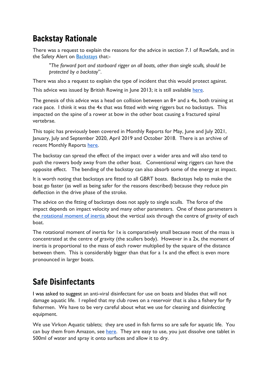# Backstay Rationale

There was a request to explain the reasons for the advice in section 7.1 of RowSafe, and in the Safety Alert on [Backstays](https://www.britishrowing.org/wp-content/uploads/2019/04/Safety-Alert-Backstays-.pdf) that:-

"*The forward port and starboard rigger on all boats, other than single sculls, should be protected by a backstay*".

There was also a request to explain the type of incident that this would protect against.

This advice was issued by British Rowing in June 2013; it is still available [here.](https://www.britishrowing.org/2013/06/a-safety-update-for-rowers-and-coaches/)

The genesis of this advice was a head on collision between an 8+ and a 4x, both training at race pace. I think it was the 4x that was fitted with wing riggers but no backstays. This impacted on the spine of a rower at bow in the other boat causing a fractured spinal vertebrae.

This topic has previously been covered in Monthly Reports for May, June and July 2021, January, July and September 2020, April 2019 and October 2018. There is an archive of recent Monthly Reports [here.](https://www.britishrowing.org/knowledge/safety/hrsa-monthly-report-archive/)

The backstay can spread the effect of the impact over a wider area and will also tend to push the rowers body away from the other boat. Conventional wing riggers can have the opposite effect. The bending of the backstay can also absorb some of the energy at impact.

It is worth noting that backstays are fitted to all GBRT boats. Backstays help to make the boat go faster (as well as being safer for the reasons described) because they reduce pin deflection in the drive phase of the stroke.

The advice on the fitting of backstays does not apply to single sculls. The force of the impact depends on impact velocity and many other parameters. One of these parameters is the [rotational](https://en.wikipedia.org/wiki/List_of_moments_of_inertia) moment of inertia about the vertical axis through the centre of gravity of each boat.

The rotational moment of inertia for 1x is comparatively small because most of the mass is concentrated at the centre of gravity (the scullers body). However in a 2x, the moment of inertia is proportional to the mass of each rower multiplied by the square of the distance between them. This is considerably bigger than that for a 1x and the effect is even more pronounced in larger boats.

# Safe Disinfectants

I was asked to suggest an anti-viral disinfectant for use on boats and blades that will not damage aquatic life. I replied that my club rows on a reservoir that is also a fishery for fly fishermen. We have to be very careful about what we use for cleaning and disinfecting equipment.

We use Virkon Aquatic tablets; they are used in fish farms so are safe for aquatic life. You can buy them from Amazon, see [here.](https://www.amazon.co.uk/Virkon-Tablets-Spectrum-Virucidal-Disinfectant/dp/B00969EARA/ref=asc_df_B00969EARA/?tag=googshopuk-21&linkCode=df0&hvadid=372084279818&hvpos=&hvnetw=g&hvrand=17460882362542428907&hvpone=&hvptwo=&hvqmt=&hvdev=c&hvdvcmdl=&hvlocint=&hvlocphy=1007170&hvtargid=pla-828371159942&psc=1&tag=&ref=&adgrpid=73275646941&hvpone=&hvptwo=&hvadid=372084279818&hvpos=&hvnetw=g&hvrand=17460882362542428907&hvqmt=&hvdev=c&hvdvcmdl=&hvlocint=&hvlocphy=1007170&hvtargid=pla-828371159942) They are easy to use, you just dissolve one tablet in 500ml of water and spray it onto surfaces and allow it to dry.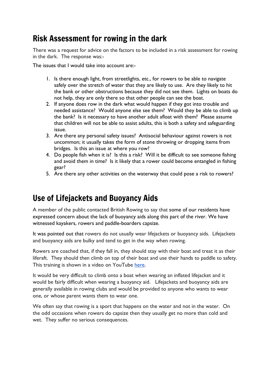## Risk Assessment for rowing in the dark

There was a request for advice on the factors to be included in a risk assessment for rowing in the dark. The response was:-

The issues that I would take into account are:-

- 1. Is there enough light, from streetlights, etc., for rowers to be able to navigate safely over the stretch of water that they are likely to use. Are they likely to hit the bank or other obstructions because they did not see them. Lights on boats do not help, they are only there so that other people can see the boat.
- 2. If anyone does row in the dark what would happen if they got into trouble and needed assistance? Would anyone else see them? Would they be able to climb up the bank? Is it necessary to have another adult afloat with them? Please assume that children will not be able to assist adults, this is both a safety and safeguarding issue.
- 3. Are there any personal safety issues? Antisocial behaviour against rowers is not uncommon; it usually takes the form of stone throwing or dropping items from bridges. Is this an issue at where you row?
- 4. Do people fish when it is? Is this a risk? Will it be difficult to see someone fishing and avoid them in time? Is it likely that a rower could become entangled in fishing gear?
- 5. Are there any other activities on the waterway that could pose a risk to rowers?

## Use of Lifejackets and Buoyancy Aids

A member of the public contacted British Rowing to say that some of our residents have expressed concern about the lack of buoyancy aids along this part of the river. We have witnessed kayakers, rowers and paddle-boarders capsize.

It was pointed out that rowers do not usually wear lifejackets or buoyancy aids. Lifejackets and buoyancy aids are bulky and tend to get in the way when rowing.

Rowers are coached that, if they fall in, they should stay with their boat and treat it as their liferaft. They should then climb on top of their boat and use their hands to paddle to safety. This training is shown in a video on YouTube [here.](https://www.youtube.com/watch?v=A6un3TkbQUQ)

It would be very difficult to climb onto a boat when wearing an inflated lifejacket and it would be fairly difficult when wearing a buoyancy aid. Lifejackets and buoyancy aids are generally available in rowing clubs and would be provided to anyone who wants to wear one, or whose parent wants them to wear one.

We often say that rowing is a sport that happens on the water and not in the water. On the odd occasions when rowers do capsize then they usually get no more than cold and wet. They suffer no serious consequences.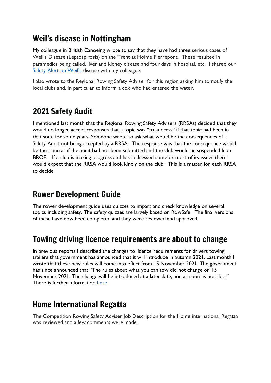# Weil's disease in Nottingham

My colleague in British Canoeing wrote to say that they have had three serious cases of Weil's Disease (Leptospirosis) on the Trent at Holme Pierrepont. These resulted in paramedics being called, liver and kidney disease and four days in hospital, etc. I shared our Safety Alert on [Weil's](https://www.britishrowing.org/wp-content/uploads/2018/11/Safety-Alert-Weils-disease.pdf) disease with my colleague.

I also wrote to the Regional Rowing Safety Adviser for this region asking him to notify the local clubs and, in particular to inform a cox who had entered the water.

# 2021 Safety Audit

I mentioned last month that the Regional Rowing Safety Advisers (RRSAs) decided that they would no longer accept responses that a topic was "to address" if that topic had been in that state for some years. Someone wrote to ask what would be the consequences of a Safety Audit not being accepted by a RRSA. The response was that the consequence would be the same as if the audit had not been submitted and the club would be suspended from BROE. If a club is making progress and has addressed some or most of its issues then I would expect that the RRSA would look kindly on the club. This is a matter for each RRSA to decide.

# Rower Development Guide

The rower development guide uses quizzes to impart and check knowledge on several topics including safety. The safety quizzes are largely based on RowSafe. The final versions of these have now been completed and they were reviewed and approved.

# Towing driving licence requirements are about to change

In previous reports I described the changes to licence requirements for drivers towing trailers that government has announced that it will introduce in autumn 2021. Last month I wrote that these new rules will come into effect from 15 November 2021. The government has since announced that "The rules about what you can tow did not change on 15 November 2021. The change will be introduced at a later date, and as soon as possible." There is further information [here.](https://www.gov.uk/guidance/new-rules-for-towing-a-trailer-or-caravan-with-a-car-from-autumn-2021)

## Home International Regatta

The Competition Rowing Safety Adviser Job Description for the Home international Regatta was reviewed and a few comments were made.